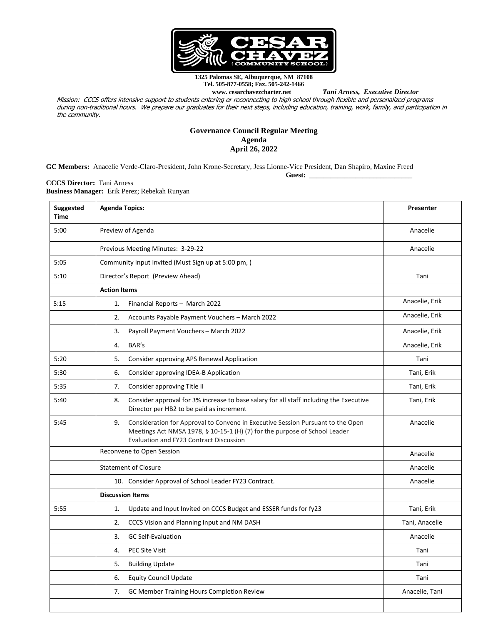

**1325 Palomas SE, Albuquerque, NM 87108 Tel. 505-877-0558; Fax. 505-242-1466**

 $Tani$  Arness, Executive Director

Mission: CCCS offers intensive support to students entering or reconnecting to high school through flexible and personalized programs during non-traditional hours. We prepare our graduates for their next steps, including education, training, work, family, and participation in the community.

## **Governance Council Regular Meeting Agenda April 26, 2022**

**GC Members:** Anacelie Verde-Claro-President, John Krone-Secretary, Jess Lionne-Vice President, Dan Shapiro, Maxine Freed

**Guest:** \_\_\_\_\_\_\_\_\_\_\_\_\_\_\_\_\_\_\_\_\_\_\_\_\_\_\_\_\_

**CCCS Director:** Tani Arness **Business Manager:** Erik Perez; Rebekah Runyan

| Suggested<br><b>Time</b> | <b>Agenda Topics:</b>                                                                                                                                                                                                 | Presenter      |  |  |  |
|--------------------------|-----------------------------------------------------------------------------------------------------------------------------------------------------------------------------------------------------------------------|----------------|--|--|--|
| 5:00                     | Preview of Agenda                                                                                                                                                                                                     | Anacelie       |  |  |  |
|                          | Previous Meeting Minutes: 3-29-22                                                                                                                                                                                     | Anacelie       |  |  |  |
| 5:05                     | Community Input Invited (Must Sign up at 5:00 pm,)                                                                                                                                                                    |                |  |  |  |
| 5:10                     | Director's Report (Preview Ahead)                                                                                                                                                                                     | Tani           |  |  |  |
|                          | <b>Action Items</b>                                                                                                                                                                                                   |                |  |  |  |
| 5:15                     | Financial Reports - March 2022<br>1.                                                                                                                                                                                  | Anacelie, Erik |  |  |  |
|                          | 2.<br>Accounts Payable Payment Vouchers - March 2022                                                                                                                                                                  | Anacelie, Erik |  |  |  |
|                          | 3.<br>Payroll Payment Vouchers - March 2022                                                                                                                                                                           | Anacelie, Erik |  |  |  |
|                          | BAR's<br>4.                                                                                                                                                                                                           | Anacelie, Erik |  |  |  |
| 5:20                     | 5.<br>Consider approving APS Renewal Application                                                                                                                                                                      | Tani           |  |  |  |
| 5:30                     | 6.<br>Consider approving IDEA-B Application                                                                                                                                                                           | Tani, Erik     |  |  |  |
| 5:35                     | Consider approving Title II<br>7.                                                                                                                                                                                     | Tani, Erik     |  |  |  |
| 5:40                     | 8.<br>Consider approval for 3% increase to base salary for all staff including the Executive<br>Director per HB2 to be paid as increment                                                                              | Tani, Erik     |  |  |  |
| 5:45                     | 9.<br>Consideration for Approval to Convene in Executive Session Pursuant to the Open<br>Meetings Act NMSA 1978, § 10-15-1 (H) (7) for the purpose of School Leader<br><b>Evaluation and FY23 Contract Discussion</b> | Anacelie       |  |  |  |
|                          | Reconvene to Open Session                                                                                                                                                                                             | Anacelie       |  |  |  |
|                          | <b>Statement of Closure</b>                                                                                                                                                                                           | Anacelie       |  |  |  |
|                          | 10. Consider Approval of School Leader FY23 Contract.                                                                                                                                                                 | Anacelie       |  |  |  |
|                          | <b>Discussion Items</b>                                                                                                                                                                                               |                |  |  |  |
| 5:55                     | 1.<br>Update and Input Invited on CCCS Budget and ESSER funds for fy23                                                                                                                                                | Tani, Erik     |  |  |  |
|                          | 2.<br>CCCS Vision and Planning Input and NM DASH                                                                                                                                                                      | Tani, Anacelie |  |  |  |
|                          | 3.<br><b>GC Self-Evaluation</b>                                                                                                                                                                                       | Anacelie       |  |  |  |
|                          | 4.<br><b>PEC Site Visit</b>                                                                                                                                                                                           | Tani           |  |  |  |
|                          | 5.<br><b>Building Update</b>                                                                                                                                                                                          | Tani           |  |  |  |
|                          | 6.<br><b>Equity Council Update</b>                                                                                                                                                                                    | Tani           |  |  |  |
|                          | 7.<br>GC Member Training Hours Completion Review                                                                                                                                                                      | Anacelie, Tani |  |  |  |
|                          |                                                                                                                                                                                                                       |                |  |  |  |